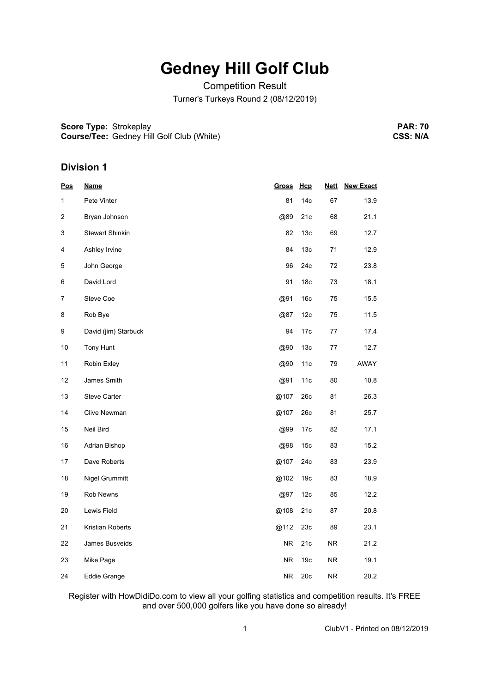## **Gedney Hill Golf Club**

Competition Result Turner's Turkeys Round 2 (08/12/2019)

**Score Type:** Strokeplay **Course/Tee:** Gedney Hill Golf Club (White)

**PAR: 70 CSS: N/A**

### **Division 1**

| <u>Pos</u> | <u>Name</u>            | <b>Gross</b> | Hcp             | <b>Nett</b> | <b>New Exact</b> |
|------------|------------------------|--------------|-----------------|-------------|------------------|
| 1          | Pete Vinter            | 81           | 14 <sub>c</sub> | 67          | 13.9             |
| 2          | Bryan Johnson          | @89          | 21c             | 68          | 21.1             |
| 3          | <b>Stewart Shinkin</b> | 82           | 13 <sub>c</sub> | 69          | 12.7             |
| 4          | Ashley Irvine          | 84           | 13 <sub>c</sub> | 71          | 12.9             |
| 5          | John George            | 96           | 24c             | 72          | 23.8             |
| 6          | David Lord             | 91           | 18 <sub>c</sub> | 73          | 18.1             |
| 7          | Steve Coe              | @91          | 16 <sub>c</sub> | 75          | 15.5             |
| 8          | Rob Bye                | @87          | 12c             | 75          | 11.5             |
| 9          | David (jim) Starbuck   | 94           | 17c             | 77          | 17.4             |
| 10         | Tony Hunt              | @90          | 13 <sub>c</sub> | 77          | 12.7             |
| 11         | Robin Exley            | @90          | 11c             | 79          | AWAY             |
| 12         | James Smith            | @91          | 11c             | 80          | 10.8             |
| 13         | Steve Carter           | @107         | 26c             | 81          | 26.3             |
| 14         | Clive Newman           | @107         | 26c             | 81          | 25.7             |
| 15         | Neil Bird              | @99          | 17c             | 82          | 17.1             |
| 16         | Adrian Bishop          | @98          | 15 <sub>c</sub> | 83          | 15.2             |
| 17         | Dave Roberts           | @107         | 24c             | 83          | 23.9             |
| 18         | Nigel Grummitt         | @102         | 19 <sub>c</sub> | 83          | 18.9             |
| 19         | Rob Newns              | @97          | 12c             | 85          | 12.2             |
| 20         | Lewis Field            | @108         | 21c             | 87          | 20.8             |
| 21         | Kristian Roberts       | @112         | 23c             | 89          | 23.1             |
| 22         | James Busveids         | NR.          | 21c             | NR.         | 21.2             |
| 23         | Mike Page              | NR.          | 19 <sub>c</sub> | NR.         | 19.1             |
| 24         | Eddie Grange           | <b>NR</b>    | 20c             | NR.         | 20.2             |

Register with HowDidiDo.com to view all your golfing statistics and competition results. It's FREE and over 500,000 golfers like you have done so already!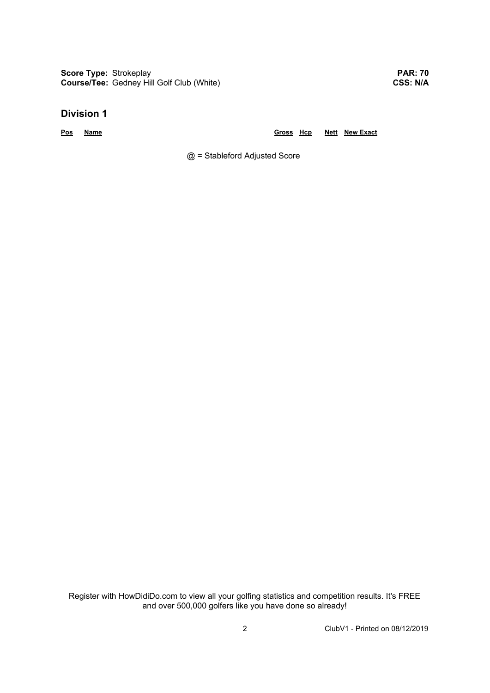**Score Type:** Strokeplay **Course/Tee:** Gedney Hill Golf Club (White)

**PAR: 70 CSS: N/A**

#### **Division 1**

**Pos Name Gross Hcp Nett New Exact**

@ = Stableford Adjusted Score

Register with HowDidiDo.com to view all your golfing statistics and competition results. It's FREE and over 500,000 golfers like you have done so already!